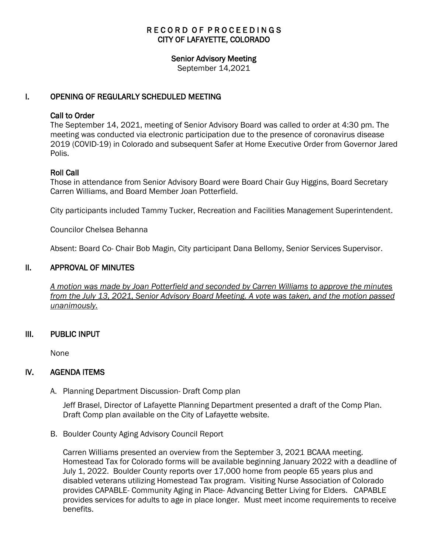# RECORD OF PROCEEDINGS CITY OF LAFAYETTE, COLORADO

#### Senior Advisory Meeting

September 14,2021

### I. OPENING OF REGULARLY SCHEDULED MEETING

### Call to Order

The September 14, 2021, meeting of Senior Advisory Board was called to order at 4:30 pm. The meeting was conducted via electronic participation due to the presence of coronavirus disease 2019 (COVID-19) in Colorado and subsequent Safer at Home Executive Order from Governor Jared Polis.

### Roll Call

Those in attendance from Senior Advisory Board were Board Chair Guy Higgins, Board Secretary Carren Williams, and Board Member Joan Potterfield.

City participants included Tammy Tucker, Recreation and Facilities Management Superintendent.

Councilor Chelsea Behanna

Absent: Board Co- Chair Bob Magin, City participant Dana Bellomy, Senior Services Supervisor.

### II. APPROVAL OF MINUTES

 *A motion was made by Joan Potterfield and seconded by Carren Williams to approve the minutes from the July 13, 2021, Senior Advisory Board Meeting. A vote was taken, and the motion passed unanimously.*

### III. PUBLIC INPUT

None

### IV. AGENDA ITEMS

A. Planning Department Discussion- Draft Comp plan

Jeff Brasel, Director of Lafayette Planning Department presented a draft of the Comp Plan. Draft Comp plan available on the City of Lafayette website.

B. Boulder County Aging Advisory Council Report

Carren Williams presented an overview from the September 3, 2021 BCAAA meeting. Homestead Tax for Colorado forms will be available beginning January 2022 with a deadline of July 1, 2022. Boulder County reports over 17,000 home from people 65 years plus and disabled veterans utilizing Homestead Tax program. Visiting Nurse Association of Colorado provides CAPABLE- Community Aging in Place- Advancing Better Living for Elders. CAPABLE provides services for adults to age in place longer. Must meet income requirements to receive benefits.